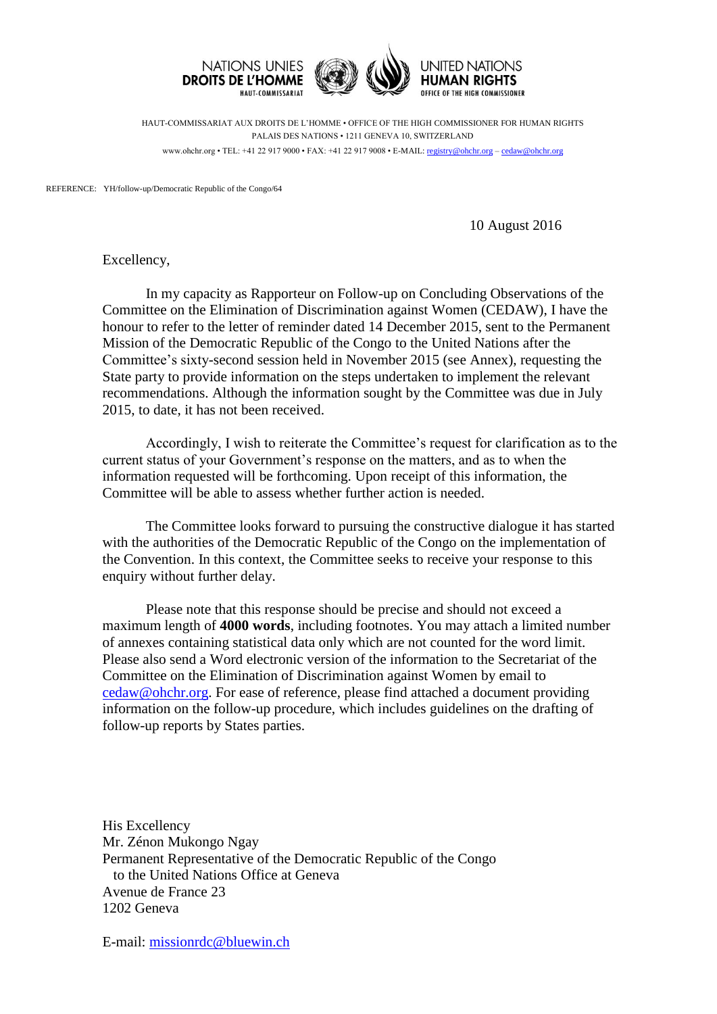

HAUT-COMMISSARIAT AUX DROITS DE L'HOMME • OFFICE OF THE HIGH COMMISSIONER FOR HUMAN RIGHTS PALAIS DES NATIONS • 1211 GENEVA 10, SWITZERLAND www.ohchr.org • TEL: +41 22 917 9000 • FAX: +41 22 917 9008 • E-MAIL: [registry@ohchr.org](mailto:registry@ohchr.org) – [cedaw@ohchr.org](mailto:cedaw@ohchr.org)

REFERENCE: YH/follow-up/Democratic Republic of the Congo/64

10 August 2016

Excellency,

In my capacity as Rapporteur on Follow-up on Concluding Observations of the Committee on the Elimination of Discrimination against Women (CEDAW), I have the honour to refer to the letter of reminder dated 14 December 2015, sent to the Permanent Mission of the Democratic Republic of the Congo to the United Nations after the Committee's sixty-second session held in November 2015 (see Annex), requesting the State party to provide information on the steps undertaken to implement the relevant recommendations. Although the information sought by the Committee was due in July 2015, to date, it has not been received.

Accordingly, I wish to reiterate the Committee's request for clarification as to the current status of your Government's response on the matters, and as to when the information requested will be forthcoming. Upon receipt of this information, the Committee will be able to assess whether further action is needed.

The Committee looks forward to pursuing the constructive dialogue it has started with the authorities of the Democratic Republic of the Congo on the implementation of the Convention. In this context, the Committee seeks to receive your response to this enquiry without further delay.

Please note that this response should be precise and should not exceed a maximum length of **4000 words**, including footnotes. You may attach a limited number of annexes containing statistical data only which are not counted for the word limit. Please also send a Word electronic version of the information to the Secretariat of the Committee on the Elimination of Discrimination against Women by email to [cedaw@ohchr.org.](mailto:cedaw@ohchr.org) For ease of reference, please find attached a document providing information on the follow-up procedure, which includes guidelines on the drafting of follow-up reports by States parties.

His Excellency Mr. Zénon Mukongo Ngay Permanent Representative of the Democratic Republic of the Congo to the United Nations Office at Geneva Avenue de France 23 1202 Geneva

E-mail: [missionrdc@bluewin.ch](mailto:missionrdc@bluewin.ch)